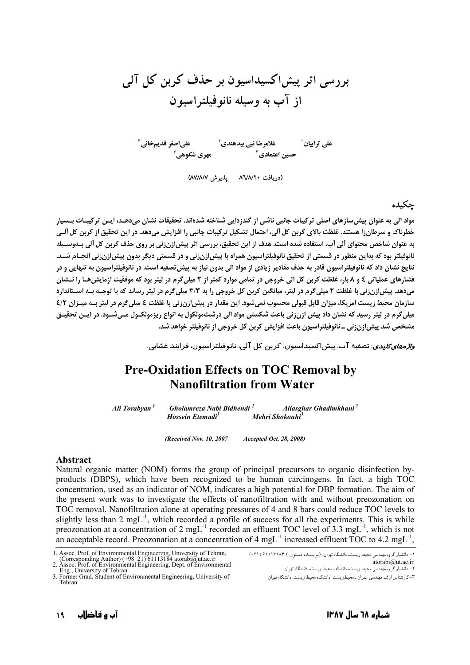غلامرضا نبی یںدھندی<sup>۲</sup> علیاصغر قدیمخانی<sup>۳</sup><br>حسین اعتمادی <sup>۳</sup> علے ترابیان ٰ

(دریافت ۸٦/٨/٢٠ - یذیرش ٨٧/٨/٧)

## حكىدە

مواد آلی به عنوان پیش سازهای اصلی ترکیبات جانبی ناشی از گندزدایی شناخته شدهاند. تحقیقات نشان میدهـد، ایــن ترکیبــات بــسیار خطرناک و سرطان;۱ هستند. غلظت بالای کربن کل آلی، احتمال تشکیل ترکیبات جانبی را افزایش می دهد. در این تحقیق از کربن کل آلـی به عنوان شاخص محتوای آلی آب، استفاده شده است. هدف از این تحقیق، بررسی اثر پیش(زنزنی بر روی حذف کربن کل آلی بـهوسـیله نانوفيلتر بود كه بهاين منظور در قسمتي از تحقيق نانوفيلتراسيون همراه با پيش!زن;ني و در قسمتي ديگر بدون پيش!زن;ني انجــام شــد. نتايج نشان داد كه نانوفيلتراسيون قادر به حذف مقادير زيادي از مواد آلي بدون نياز به پيش تصفيه است. در نانوفيلتراسيون به تنهايي و در فشارهای عملیاتی ٤ و ٨ بار، غلظت کربن کل ألی خروجی در تمامی موارد کمتر از ٢ میلی گرم در لیتر بود که موفقیت أزمایش هـا را نــشان میدهد. پیش!زنزنی با غلظت ۲ میلی گرم در لیتر، میانگین کربن کل خروجی را به ۳/۳ میلی گرم در لیتر رساند که با توجـه بـه اسـتاندارد سازمان محیط زیست امریکا، میزان قابل قبولی محسوب نمیشود. این مقدار در پیش(زنزنی با غلظت ٤ میلی گرم در لیتر بـه میـزان ٤/٢ میلی گرم در لیتر رسید که نشان داد پیش ازن;نی باعث شکستن مواد آلی درشتمولکول به انواع ریزمولکـول مـی شـود. در ایـن تحقیـق مشخص شد پیش[زن;نی \_ نانوفیلتراسیون باعث افزایش کربن کل خروجی از نانوفیلتر خواهد شد.

.<br>*واژههای کلیدی*: تصفیه آب، بیش اکسیداسیون، کرین کل آلی، نانوفیلتر اسپون، فرایند غشایی.

## **Pre-Oxidation Effects on TOC Removal by Nanofiltration from Water**

Ali Torabyan<sup>1</sup> Gholamreza Nabi Bidhendi<sup>2</sup> Aliasghar Ghadimkhani<sup>3</sup> Hossein Etemadi<sup>3</sup> Mehri Shokouhi<sup>3</sup>

> (Received Nov. 10, 2007 Accepted Oct. 28, 2008)

## **Abstract**

Natural organic matter (NOM) forms the group of principal precursors to organic disinfection byproducts (DBPS), which have been recognized to be human carcinogens. In fact, a high TOC concentration, used as an indicator of NOM, indicates a high potential for DBP formation. The aim of the present work was to investigate the effects of nanofiltration with and without preozonation on TOC removal. Nanofiltration alone at operating pressures of 4 and 8 bars could reduce TOC levels to slightly less than 2 mgL<sup>-1</sup>, which recorded a profile of success for all the experiments. This is while preozonation at a concentration of 2 mgL<sup>-1</sup> recorded an effluent TOC level of 3.3 mgL<sup>-1</sup>, which is not an acceptable record. Preozonation at a concentration of 4 mgL<sup>-1</sup> increased effluent TOC to 4.2 mgL<sup>-1</sup>,

<sup>1.</sup> Assoc. Prof. of Environmental Engineering, University of Tehran,<br>(Corresponding Author) (+98 21) 61113184 atorabi@ut.ac.ir<br>2. Assoc. Prof. of Environmental Engineering, Dept. of Environmental

Eng. University of Tehran

<sup>3.</sup> Former Grad. Student of Environmental Engineering, University of Tehran

۱– دانشیار گروه مهندسی محیط زیست، دانشگاه تهران، (نویسنده مسئول ) ۶۱۱۱۳۱۸۴ ( (۲۱۰) atorabi@ut.ac.ir

۳- کار شناس ارشد مهندسی عمران ـ محیط; بست، دانشکده محیط ; بست، دانشگاه تهران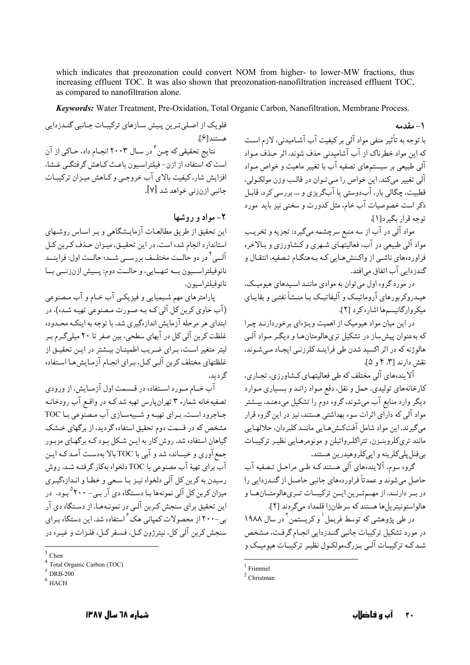which indicates that preozonation could convert NOM from higher- to lower-MW fractions, thus increasing effluent TOC. It was also shown that preozonation-nanofiltration increased effluent TOC, as compared to nanofiltration alone.

Keywords: Water Treatment, Pre-Oxidation, Total Organic Carbon, Nanofiltration, Membrane Process.

فلویک از اصلی ترین پیش سازهای ترکیبات جـانبی گنـدزدایی هستند[۶]. نتایج تحقیقی که چـن<sup>۳</sup> در سـال ۲۰۰۳ انجـام داد، *ح*ـاکی از آن است که استفاده از ازن- فیلتراسیون باعث کـاهش گرفتگـی غـشا، افزایش شار،کیفیت بالای آب خروجبی و کـاهش میـزان ترکیبـات جانبي ازنزني خواهد شد [٧].

۲- مواد و روشها

این تحقیق از طریق مطالعیات آزمایـشگاهی و بـر اسـاس روشـهای استاندارد انجام شده است. در این تحقیـق، میـزان حـذف کـربن کـل ۔<br>آلــي <sup>أ</sup> در دو حالــت مختلــف بررســي شــد؛ حالــت اول: فراينــد نانوفيلتراســيون بــه تنهــايي، و حالــت دوم: پــيش ازنزنــي بــا نانوفيلتراسيون.

پارامترهای مهم شیمیایی و فیزیکی آب خـام و آب مـصنوعی (آب حاوي کربن کل آلي کـه بـه صـورت مـصنوعي تهيـه شـده)، در ابتدای هر مرحله آزمایش اندازهگیری شد. با توجه به اینکه محـدوده غلظت کربن آلی کل در آبهای سطحی، بین صفر تا ۲۰ میلیگـرم بـر ليتر متغير است، بـراي ضـريب اطمينـان بيـشتر در ايـن تحقيـق از غلظتهای مختلف کربن آلبی کیل، بیرای انجبام آزمیایش هیا استفاده گر دید.

آب خـام مـورد اســتفاده در قــسمت اول آزمــايش، از ورودي تصفیهخانه شماره ۳ تهران یارس تهیه شد کـه در واقـع آب رودخانـه جباجرود است. بیرای تھیه و شبیهسیازی آب مصنوعی بیا TOC مشخص که در قسمت دوم تحقیق استفاده گردید، از برگهای خــشک گیاهان استفاده شد. روش کار به ایـن شـکل بـود کـه برگهـای مزبـور جمع آوري و خيسانده شد و آبي با TOC بالا بهدست آمـد کـه ايـن آب براي تهيهٔ آب مصنوعي با TOC دلخواه بهكار گرفتـه شـد. روش رسيدن به كربن كل آلى دلخواه نيـز بـا سـعى و خطـا و انـدازهگيـرى میزان کربن کل آلی نمونهها بـا دسـتگاه دی آر بـی- °۲۰۰ بـود. در این تحقیق برای سنجش کـربن آلـی در نمونـههـا، از دسـتگاه دی آر بی-۲۰۰ از محصولات کمیانی هک ٔ استفاده شد. این دستگاه بـرای سنجش کربن آلي کل، نيترژون کـل، فـسفر کـل، فلـزات و غيـره در

 $3$  Chen

١ - مقدمه با توجه به تأثیر منفی مواد آلی بر کیفیت آب آشـامیدنی، لازم اسـت که این مواد خطرناک از آب آشامیدنی حذف شوند. اثر حـذف مـواد آلبی طبیعی بر سیستمهای تصفیه آب با تغییر ماهیت و خواص مـواد آلي تغيير مي كند. اين خواص را مـي تـوان در قالـب وزن مولكـولي، قطبیت، چگالی بار، آبدوستی یا آبگریزی و … بررسی کرد. قابـل ذکر است خصوصیات آب خام، مثل کدورت و سختی نیز باید مورد توحه قرار بگیرد[۱].

مواد آلي در آب از سه منبع سرچشمه ميگيرد: تجزيه و تخريب مواد آلم طبیعی در آب، فعالیتهـای شـهری و کـشاورزی و بـالاخره فراوردههای ناشبی از واکـنش،هـایی کـه بـههنگـام تـصفیه، انتقـال و گندزدایی آب اتفاق می|فتد.

در مورد گروه اول می توان به موادی ماننـد اسـیدهای هیومیـک، هیـدروکربورهای آروماتیـک و آلیفاتیـک بـا منــشأ نفتـی و بقایــای ميكرواركانيسمها اشاره كرد [٢].

در این میان مواد هیومیک از اهمیت ویـژهای برخوردارنـد چـرا که بهعنوان پیش ساز در تشکیل تری هالومتان هـا و دیگـر مـواد آلـی هالوژنه که در اثر اکسید شدن طی فراینـد کلرزنـی ایجـاد مـیشـوند، نقش دارند [۳، ۴ و ۵].

آلایندههای آلی مختلف که طی فعالیتهای کشاورزی، تجـاری، کارخانههای تولیدی، حمل و نقل، دفع مـواد زائـد و بـسیاری مـوارد دیگر وارد منابع آب میشوند، گروه دوم را تشکیل میدهنـد. بیـشتر مواد آلی که دارای اثرات سوء بهداشتی هستند، نیز در این گروه قرار مي گيرند. اين مواد شامل آفتڪش هـايي ماننـد کلـر دان، حلالهـايي مانند تری کلروېنـزن، تتراکلـرواتيلن و مونومرهـايې نظيـر ترکيبـات بي فنل پلې کلږينه و ايي کلږ وهيدرين هستند.

گروه سوم، آلایندههای آلی هستند کـه طـی مراحـل تـصفیه آب حاصل می شوند و عمدتاً فراوردههای جانبی حاصل از گنـدزدایی را در بهر دارنهد. از مهم تورین ایسن ترکیبات توریهالومتان ها و هالواستونيتر بل ها هستند كه سرطان; ا قلمداد مي گر دند [۲].

در طی پژوهشی که توسط فریمل <sup>۱</sup> و کریستمن <sup>۲</sup> در سال ۱۹۸۸ در مورد تشکیل ترکیبات جانبی گنـدزدایی انجـام گرفـت، مـشخص شید کیه ترکیبات آلبی بیز دگ مولکیول نظیر ترکیبات هیومیک و

Total Organic Carbon (TOC)

 $5$  DRB-200

 $6$  HACH

 $1$  Frimmel

 $2$  Christman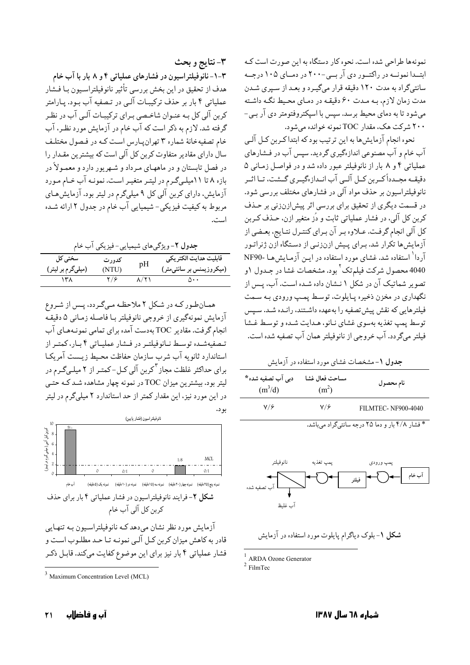نمونهها طراحي شده است. نحوه كار دستگاه به اين صورت است كـه ابتـدا نمونــه در راكتــور دى آر بــى-٢٠٠ در دمــاى ١٠٥ درجــه سانتیگراد به مدت ۱۲۰ دقیقه قرار میگیرد و بعد از سپری شدن مدت زمان لازم، به مدت ۶۰ دقیقه در دمای محیط نگه داشته میشود تا به دمای محیط برسد. سپس با اسپکتروفتومتر دی آر ببی-۲۰۰ شرکت هک، مقدار TOC نمونه خوانده می شود.

نحوه انجام آزمایش ها به این ترتیب بود که ابتداکربن کـل آلـي آب خام و آب مصنوعی اندازهگیری گردید. سپس آب در فـشارهای عملیاتی ۴ و ۸ بار از نانوفیلتر عبور داده شد و در فواصل زمانی ۵ دقیقــه مجــدداً کــربن کــل آلــي آب انــدازهگیــري گــشت، تــا اثــر نانوفیلتراسیون بر حذف مواد آلبی در فشارهای مختلف بررسی شود. در قسمت دیگری از تحقیق برای بررسی اثر پیش|زنزنی بر حـذف کربن کل آلی، در فشار عملیاتی ثابت و دُز متغیر ازن، حـذف کـربن كل آلي انجام گرفت. عـلاوه بـر آن بـراي كنتـرل نتـايج، بعـضي از آزمایش ها تکرار شد. بـرای پـیش ازنزنـی از دسـتگاه ازن ژنراتـور آردا<sup>\</sup> استفاده شد. غشای مورد استفاده در ایــن آزمـایش هـا -NF90 4040 محصول شرکت فیلم¤ک`بود. مشخصات غشا در جـدول ۱و تصویر شماتیک آن در شکل ۱ نـشان داده شـده اسـت. آب، پـس از نگهداري در مخزن ذخيره پـايلوت، توسـط پمـپ ورودي بـه سـمت فیلترهایی که نقش پیش تصفیه را بهعهده داشتند، رانـده شـد. سـیس توسط پمپ تغذیه بهسوی غشای نانو، هـدایت شـده و توسـط غـشا فيلتر مي گردد. آب خروجي از نانوفيلتر همان آب تصفيه شده است.

**جدول ۱**–مشخصات غشای مورد استفاده در آزمایش

| دبی اب تصفیه شده ۳<br>(m <sup>3</sup> /d) | مساحت فعال غشا<br>$(m^2)$ | نام محصول          |
|-------------------------------------------|---------------------------|--------------------|
| $V/\hat{Z}$                               | $V/\hat{r}$               | FILMTEC-NF900-4040 |

\* فشار ۴/۸ بار و دما ۲۵ درجه سانتیگراد میباشد.



ARDA Ozone Generator

 $2$  FilmTec

۳-نتايج و بحث ۳–۱–نانوفیلتراسیون در فشارهای عملیاتی ۴ و ۸ بار با آب خام هدف از تحقيق در اين بخش بررسي تأثير نانوفيلتراسـيون بـا فــشار عملیاتی ۴ بار بر حذف ترکیبـات آلـی در تـصفیه آب بـود. یـارامتر کربن آلی کل بـه عنـوان شاخـصی بـرای ترکیبـات آلـی آب در نظـر گرفته شد. لازم به ذکر است که آب خام در آزمایش مورد نظـر، آب خام تصفیه خانهٔ شماره ۳ تهران پارس است کـه در فـصول مختلـف سال دارای مقادیر متفاوت کربن کل آلی است که بیشترین مقـدار را در فصل تابستان و در ماههـاي مـرداد و شـهريور دارد و معمـولاً در بازه ۸ تا ۱۱میلهگرم در لیتر متغیـر اسـت. نمونـه آب خـام مـورد آزمایش، دارای کربن آلی کل ۹ میلیگرم در لیتر بود. آزمایش هـای مربوط به کیفیت فیزیکی- شیمیایی آب خام در جدول ۲ ارائه شـده است.

جدول ۲- ویژگی های شیمیایی- فیزیکی آب خام

| سختی کل           | كدورت | pН | قابليت هدايت الكتر يكى   |
|-------------------|-------|----|--------------------------|
| (میلیگرم بر لیتر) | (NTU) |    | (میکروزیمنس بر سانتیمتر) |
|                   | ۲/۶   |    | ∧⊷                       |

همانطور که در شکل ۲ ملاحظه میگردد، پس از شروع آزمايش نمونهگيري از خروجي نانوفيلتر بـا فاصـله زمـاني ۵ دقيقـه انجام گرفت. مقادیر TOC بهدست آمده برای تمامی نمونـههـای آب تىصفيەشىدە توسىط نىانوفيلتىر در فىشار عمليياتى ۴ بىار،كمتىر از استاندارد ثانويه آب شرب سازمان حفاظت محيط زيـست آمريكـا برای حداکثر غلظت مجاز <sup>۳</sup>کربن آلی کـل-کمتـر از ۲ میلـیگـرم در لیتر بود. بیشترین میزان TOC در نمونه چهار مشاهده شد کـه حتـی در این مورد نیز، این مقدار کمتر از حد استاندارد ۲ میلیگرم در لیتر ىو د.



.<br>نمونه پنج (۲۵دقیقه) نمونه چهار (۲۰دقیقه) نمونه سه (۱۵دقیقه) نمونه دو (۱۰دقیقه) نمونه یک (۵دقیقه) شکل ۲-فرایند نانوفیلتراسیون در فشار عملیاتی ۴ بار برای حذف كربن كل آلى آب خام

آزمايش مورد نظر نشان مي دهد كـه نانوفيلتراسـيون بـه تنهـايي قادر به کاهش میزان کربن کـل آلـی نمونـه تـا حـد مطلـوب اسـت و فشار عملیاتی ۴ بار نیز برای این موضوع کفایت میکند. قابـل ذکـر

Maximum Concentration Level (MCL)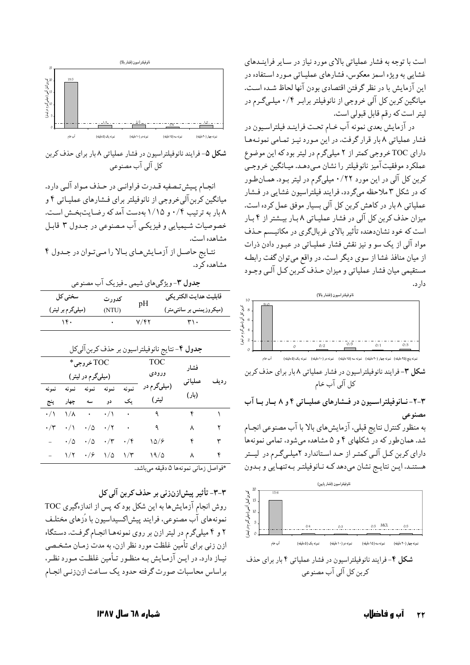است با توجه به فشار عملیاتی بالای مورد نیاز در سـایر فراینـدهای غشایی به ویژه اسمز معکوس، فشارهای عملیـاتی مـورد اسـتفاده در این آزمایش با در نظر گرفتن اقتصادی بودن آنها لحاظ شـده اسـت. میانگین کربن کل آلی خروجی از نانوفیلتر برابـر ۰/۴ میلـیگـرم در ليتر است كه رقم قابل قبولي است.

در آزمایش بعدی نمونه آب خـام تحـت فراینـد فیلتراسـیون در فشار عملیاتی ۸ بار قرار گرفت. در این مورد نیـز تمـامی نمونـههـا دارای TOC خروجی کمتر از ۲ میلیگرم در لیتر بود که این موضوع عملکرد موفقیت آمیز نانوفیلتر را نشان مـیدهـد. میـانگین خروجـی کربن کل آلی در این مورد ۰/۲۲ میلیگرم در لیتر بـود. همـانطـور که در شکل ۳ ملاحظه میگردد، فرایند فیلتراسیون غشایی در فشار عملیاتی ۸ بار در کاهش کربن کل آلی بسیار موفق عمل کرده است. میزان حذف کربن کل آلی در فشار عملیـاتی ۸ بـار بیـشتر از ۴ بـار است که خود نشاندهنده تأثیر بالای غربالگری در مکانیسم حـذف مواد آلبی از یک سو و نیز نقش فشار عملیـاتبی در عبـور دادن ذرات از میان منافذ غشا از سوی دیگر است. در واقع میتوان گفت رابطه مستقیمی میان فشار عملیاتی و میزان حـذف کـربن کـل آلـی وجـود دار د.



نىرنە پنج (٢٥ دقيقە) نىونە چهار (٢٠ دقيقە) نىونە سە (١٥ دقيقە) نىونە دو (١٠ دقيقە) نىونە يک (٥ دقيقە) آب خام

شکل ۳- فرایند نانوفیلتراسیون در فشار عملیاتی ۸ بار برای حذف کربن كل آلى آب خام

۳-۲- نـانوفيلتراسـيون در فـشارهاي عمليـاتي ۴ و ۸ بـار بـا آب مصنوعی

به منظور کنترل نتایج قبلی، آزمایش های بالا با آب مصنوعی انجـام شد. همان طور که در شکلهای ۴ و ۵ مشاهده میشود، تمامی نمونهها دارای کربن کـل آلـی کمتـر از حـد اسـتاندارد ۲میلـی گـرم در لیــتر هستنـد. ايـن نتايـج نشان مىدهد كـه نـانوفيلتـر بـهتنهـايي و بـدون





شکل ۵- فرایند نانوفیلتراسیون در فشار عملیاتی ۸ بار برای حذف کربن کل آلي آب مصنوعي

انجـام پـیش تـصفیه قـدرت فراوانـی در حـذف مـواد آلـی دارد. میانگین کربن آلی خروجی از نانوفیلتر برای فـشارهای عملیـاتی ۴ و ۸ بار به ترتیب ۰/۴ و ۱/۱۵ بهدست آمد که رضایتبخش است. خصوصیات شیمیایی و فیزیکی آب مصنوعی در جدول ۳ قابل مشاهده است. نتـايج حاصـل از آزمـايش،عـاي بـالا را مـيتـوان در جـدول ۴

مشاهده کر د.

| <b>جدول ۳</b> -ویژگیهای شیمی ـفیزیک اب مصنوعی |                                                        |                      |                         |                |       |                        |                             |      |  |
|-----------------------------------------------|--------------------------------------------------------|----------------------|-------------------------|----------------|-------|------------------------|-----------------------------|------|--|
| سختی کل<br>(میلیگرم بر لیتر)                  |                                                        |                      | كدورت                   |                | pH    | قابليت هدايت الكتر يكي |                             |      |  |
|                                               |                                                        |                      |                         | (NTU)          |       |                        | (میکروزیمنس بر سانتیمتر)    |      |  |
|                                               |                                                        | 1f.                  |                         | $\sim$         |       | $Y/\frak{f}$ ٢         | $\mathsf{r}\mathsf{h}\cdot$ |      |  |
|                                               | <b>جدول ۴</b> - نتايج نانوفيلتراسيون بر حذف كربن آليكل |                      |                         |                |       |                        |                             |      |  |
| TOC خروجي*                                    |                                                        |                      |                         |                |       | <b>TOC</b>             | فشار                        |      |  |
|                                               |                                                        |                      | (میلیگرم در لیتر)       |                |       | ورودى                  |                             |      |  |
|                                               | نمونه                                                  | نمونه                | نمونه                   | نمونه          | نمونه | (میلیگرم در            | عملياتي                     | رديف |  |
|                                               | پنج                                                    | چھار                 | سه                      | دو             | یک    | ليتر)                  | (بار)                       |      |  |
|                                               | $\cdot/\wedge$                                         | ۱/۸                  | $\langle \cdot \rangle$ | $\cdot/\wedge$ | ۰     | $\mathcal{A}$          | ۴                           |      |  |
|                                               | ۰/۳                                                    | $\cdot/\wedge$       | $\cdot/\Delta$          | ۰/۲            |       | ٩                      | ٨                           | ۲    |  |
|                                               |                                                        | $\cdot/\vartriangle$ | ۰/۵                     | ۰/۳            | ۰/۴   | $\frac{1}{2}$          | ۴                           | ٣    |  |
|                                               |                                                        | 1/7                  | ۰/۶                     | ۱/۵            | ۱/۳   | 19/0                   | ٨                           | ۴    |  |
|                                               |                                                        |                      |                         |                |       |                        |                             |      |  |

\*فواصل زمانی نمونهها ۵ دقیقه می باشد.

٣-٣- تأثير پيش|زنزني بر حذف كربن آلي كل

روش انجام آزمایش ها به این شکل بود که پس از انداز گیری TOC نمونههاي أب مصنوعي، فرايند پيش|كسيداسيون با دُزهاي مختلـف ۲ و ۴ میلیگرم در لیتر ازن بر روی نمونههـا انجـام گرفـت. دسـتگاه ازن زنی برای تأمین غلظت مورد نظر ازن، به مدت زمـان مشخـصی نیاز دارد. در ایـن آزمـایش بـه منظـور تـأمین غلظـت مـورد نظـر، براساس محاسبات صورت گرفته حدود يك ساعت ازنزني انجام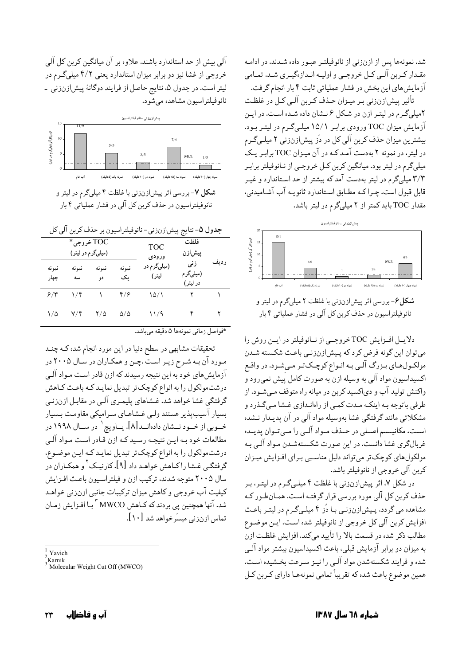شد. نمونهها پس از ازنزنی از نانوفیلتر عبور داده شـدند. در ادامـه مقـدار كـربن آلـي كـل خروجـي و اوليـه انـدازهگيـري شـد. تمـامي آزمایش های این بخش در فشار عملیاتی ثابت ۴ بار انجام گرفت.

تأثیر پیش|زنزنی بـر میـزان حـذف کـربن آلـی کـل در غلظـت ۲میلیگرم در لیتر ازن در شکل ۶ نـشان داده شـده اسـت. در ایـن آزمایش میزان TOC ورودی برابر ۱۵/۱ میلیگرم در لیتر بود. بیشترین میزان حذف کربن آلی کل در دُز پیش|زنزنی ۲ میلـیگـرم در لیتر، در نمونه ۲ بهدست آمـد کـه در آن میـزان TOC برابـر یـک میلیگرم در لیتر بود. میانگین کربن کـل خروجـی از نـانوفیلتر برابـر ۳/۳ میلیگرم در لیتر بهدست آمدکه بیشتر از حد اسـتاندارد و غیـر قابل قبول است، چـراکـه مطـابق اسـتاندارد ثانويـه آب آشـاميدني، مقدار TOC باید کمتر از ۲ میلیگرم در لیتر باشد.



**شکل۶**-بررسی اثر پیشازنزنی با غلظت ۲ میلیگرم در لیتر و نانوفيلتراسيون در حذف كربن كل آلي در فشار عملياتي ۴ بار

دلايـل افـزايش TOC خروجـي از نـانوفيلتر در ايـن روش را می توان این گونه فرض کرد که پـیش(زنزنـی باعـث شکـسته شـدن مولکـولهـاي بـزرگ آلـي بـه انـواع کوچـکتـر مـي شـود. در واقـع اکسیداسیون مواد آلبی به وسیله ازن به صورت کامل پَیش نمی ِرود و واکنش تولید آب و دیاکسید کربن در میانه راه متوقف مـیشـود. از طرفي باتوجه بـه اينكـه مـدت كمـي از راهانـدازي غـشا مـيگـذرد و مشکلاتی مانند گرفتگی غشا بهوسیله مواد آلی در آن پدیـدار نـشده است، مکانیـسم اصـلی در حـذف مـواد آلـی را مـی تـوان پدیـده غربالگري غشا دانست. در اين صورت شكستهشـدن مـواد آلـي بـه مولکولهای کوچک تر میتواند دلیل مناسبی بـرای افـزایش میـزان كربن آلي خروجي از نانوفيلتر باشد.

در شکل ۷، اثر پیش|زنزنی با غلظت ۴ میلـیگـرم در لیتـر، بـر حذف کربن کل آلی مورد بررسی قرار گرفتـه اسـت. همـانطـور کـه مشاهده می گردد، پیش|زنزنمی با دُز ۴ میلمیگرم در لیتـر باعـث افزايش كربن آلي كل خروجي از نانوفيلتر شده است. ايـن موضـوع مطالب ذکر شده در قسمت بالا را تأييد ميكند. افزايش غلظت ازن به میزان دو برابر آزمایش قبلی، باعث اکسیداسیون بیشتر مواد آلبی شده و فرایند شکستهشدن مواد آلبی را نیـز سـرعت بخـشیده اسـت. همین موضوع باعث شده که تقریباً تمامی نمونههـا دارای کـربن کـل

آلبی بیش از حد استاندارد باشند. علاوه بر آن میانگین کربن کل آلبی خروجی از غشا نیز دو برابر میزان استاندارد یعنی ۴/۲ میلیگرم در لیتر است. در جدول ۵، نتایج حاصل از فرایند دوگانهٔ پیشازنزنی -نانو فيلتراسيون مشاهده مي شود.



نانوفيلتراسيون در حذف كربن كل آلي در فشار عملياتي ۴ بار

|  | جلول له-نتايج پيشازنزني- نانوفيلتراسيون بر حدف کربن آلي کل |  |
|--|------------------------------------------------------------|--|
|  |                                                            |  |

| TOC خروجي*<br>(میلیگرم در لیتر) |                         |             |                 | <b>TOC</b><br>ورودى  | غلظت<br>پیش زن              |      |
|---------------------------------|-------------------------|-------------|-----------------|----------------------|-----------------------------|------|
| نمونه<br>چهار                   | نمه نه<br>سه            | نمونه<br>دو | نمونه<br>ىك     | (میلیگرم در<br>ليتر) | زنی<br>(میلیگرم<br>در ليتر) | رديف |
| ۶/۳                             | ۱/۴                     |             | ۴/۶             | 10/1                 |                             |      |
| $\sqrt{\Delta}$                 | $\mathsf{Y}/\mathsf{f}$ | ۲/۵         | $\Delta/\Delta$ | ۱۱/۹                 |                             |      |

\*فواصل زماني نمونهها ۵ دقيقه مىباشد.

تحقیقات مشابهی در سطح دنیا در این مورد انجام شده کـه چنـد مـورد آن بـه شـرح زيـر اسـتّ .چـن و همكـاران در سـال ٢٠٠۵ در آزمایش های خود به این نتیجه رسیدند که ازن قادر است مـواد آلـی درشتمولکول را به انواع کوچکتر تبدیل نمایـد کـه باعـث کـاهش گرفتگی غشا خواهد شد. غــشاهای پلیمـری آلـی در مقابـل ازنزنـی بسیار آسیبپذیر هستند ولمی غشاهـای سـرامیکی مقاومـت بـسیار خــوبي از خــود نـــشان دادهانــد[۸]. يــاويچ` در ســال ۱۹۹۸ در مطالعات خود بـه ايـن نتيجـه رسـيد كـه ازن قـادر اسـت مـواد آلـي درشتمولکول را به انواع کوچکتر تبدیل نمایـد کـه ایـن موضـوع. گرفتگـي غــشا راكـاهش خواهـد داد [۹]. كارنيـك <sup>٢</sup>و همكـاران در سال ۲۰۰۵ متوجه شدند، ترکیب ازن و فیلتراسیون باعث افـزایش كيفيت آب خروجي وكاهش ميزان تركيبات جانبي ازنزني خواهـد شد. آنها همچنین پی بردند که کـاهش MWCO <sup>۳</sup> بـا افـزایش زمـان تماس ازنزنی میسّرخواهد شد [۱۰].

Yavich

Karnik

Molecular Weight Cut Off (MWCO)